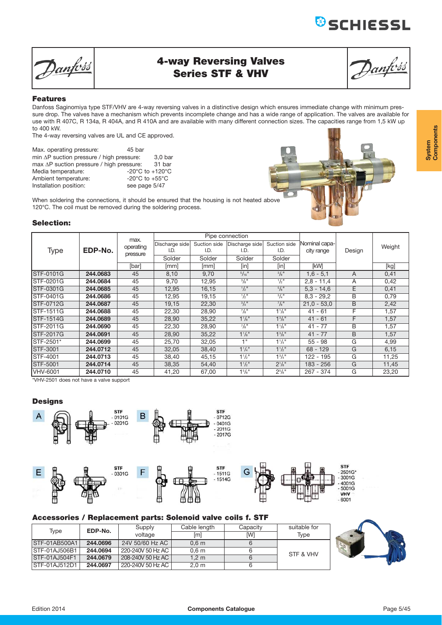Danfoss

## **4-way Reversing Valves Series STF & VHV**

**&**SCHIESSL

#### **Features**

Danfoss Saginomiya type STF/VHV are 4-way reversing valves in a distinctive design which ensures immediate change with minimum pressure drop. The valves have a mechanism which prevents incomplete change and has a wide range of application. The valves are available for use with R 407C, R 134a, R 404A, and R 410A and are available with many different connection sizes. The capacities range from 1,5 kW up to 400 kW.

The 4-way reversing valves are UL and CE approved.

| Max. operating pressure:                         | 45 bar                                |                    |
|--------------------------------------------------|---------------------------------------|--------------------|
| min $\Delta P$ suction pressure / high pressure: |                                       | 3.0 <sub>bar</sub> |
| max $\Delta P$ suction pressure / high pressure: |                                       | 31 bar             |
| Media temperature:                               | -20 $^{\circ}$ C to +120 $^{\circ}$ C |                    |
| Ambient temperature:                             | -20 $^{\circ}$ C to +55 $^{\circ}$ C  |                    |
| Installation position:                           | see page 5/47                         |                    |
|                                                  |                                       |                    |

When soldering the connections, it should be ensured that the housing is not heated above 120°C. The coil must be removed during the soldering process.

### **Selection:**

|                 | max.     |           |                |              | Pipe connection             |                             |               |        |        |
|-----------------|----------|-----------|----------------|--------------|-----------------------------|-----------------------------|---------------|--------|--------|
|                 |          | operating | Discharge side | Suction side | Discharge side              | Suction side                | Nominal capa- |        | Weight |
| <b>Type</b>     | EDP-No.  | pressure  | I.D.           | I.D.         | I.D.                        | I.D.                        | city range    | Design |        |
|                 |          |           | Solder         | Solder       | Solder                      | Solder                      |               |        |        |
|                 |          | [bar]     | [mm]           | [mm]         | [in]                        | [in]                        | <b>IkWI</b>   |        | [kg]   |
| STF-0101G       | 244.0683 | 45        | 8,10           | 9,70         | $5/16$ <sup>11</sup>        | $3/8$ <sup>11</sup>         | $1,6 - 5,1$   | A      | 0,41   |
| STF-0201G       | 244.0684 | 45        | 9,70           | 12,95        | $3/8$ <sup>11</sup>         | $\frac{1}{2}$ <sup>11</sup> | $2,8 - 11,4$  | A      | 0,42   |
| STF-0301G       | 244.0685 | 45        | 12,95          | 16,15        | $\frac{1}{2}$ <sup>11</sup> | $5/8$ <sup>11</sup>         | $5.3 - 14.6$  | E      | 0,41   |
| STF-0401G       | 244.0686 | 45        | 12,95          | 19,15        | $\frac{1}{2}$ <sup>11</sup> | $3/4$ <sup>11</sup>         | $8.3 - 29.2$  | B      | 0,79   |
| STF-0712G       | 244.0687 | 45        | 19,15          | 22,30        | $3/4$ <sup>11</sup>         | $^{7}/_{8}$ <sup>11</sup>   | $21,0 - 53,0$ | B      | 2,42   |
| STF-1511G       | 244.0688 | 45        | 22,30          | 28,90        | $^{7}/_{8}$ <sup>11</sup>   | $1\frac{1}{8}$ "            | $41 - 61$     | F      | 1,57   |
| STF-1514G       | 244.0689 | 45        | 28,90          | 35,22        | $1\frac{1}{8}$ "            | $1^{3}/8$ "                 | 41<br>$-61$   | F      | 1,57   |
| STF-2011G       | 244.0690 | 45        | 22,30          | 28,90        | $^{7}/\!_{8}$ "             | $1^{1}/8$ "                 | $41 - 77$     | В      | 1,57   |
| STF-2017G       | 244.0691 | 45        | 28,90          | 35,22        | $1\frac{1}{8}$ "            | $1^{3}/8$ "                 | $41 - 77$     | B      | 1,57   |
| STF-2501*       | 244.0699 | 45        | 25,70          | 32,05        | 1"                          | $1^{1}/4$ "                 | $55 - 98$     | G      | 4,99   |
| STF-3001        | 244.0712 | 45        | 32,05          | 38,40        | $1^{1}/4$ "                 | $1^{1}/2$ "                 | $68 - 129$    | G      | 6,15   |
| STF-4001        | 244.0713 | 45        | 38,40          | 45,15        | $1\frac{1}{2}$ "            | $1\frac{3}{4}$ "            | 122 - 195     | G      | 11,25  |
| STF-5001        | 244.0714 | 45        | 38,35          | 54,40        | $1^{1}/2$ "                 | $2^{1}/s$ "                 | 183 - 256     | G      | 11,45  |
| <b>VHV-6001</b> | 244.0710 | 45        | 41,20          | 67,00        | 15/8"                       | $2^{5}/8"$                  | 267 - 374     | G      | 23,20  |

\*VHV-2501 does not have a valve support

### **Designs**











### 3001G 4001G<br>5001G **VHV** 6001

### **Accessories / Replacement parts: Solenoid valve coils f. STF**

| Type                 | EDP-No.  | Supply            | Cable length        | Capacity | suitable for |
|----------------------|----------|-------------------|---------------------|----------|--------------|
|                      |          | voltage           | $\lfloor m \rfloor$ | IWI      | Tvpe         |
| STF-01AB500A1        | 244.0696 | 24V 50/60 Hz AC   | 0.6 <sub>m</sub>    |          |              |
| <b>STF-01AJ506B1</b> | 244.0694 | 220-240V 50 Hz AC | 0.6 <sub>m</sub>    |          | STF & VHV    |
| <b>STF-01AJ504F1</b> | 244.0679 | 208-240V 50 Hz AC | 1.2 m               |          |              |
| <b>STF-01AJ512D1</b> | 244.0697 | 220-240V 50 Hz AC | 2.0 <sub>m</sub>    |          |              |



 $\epsilon$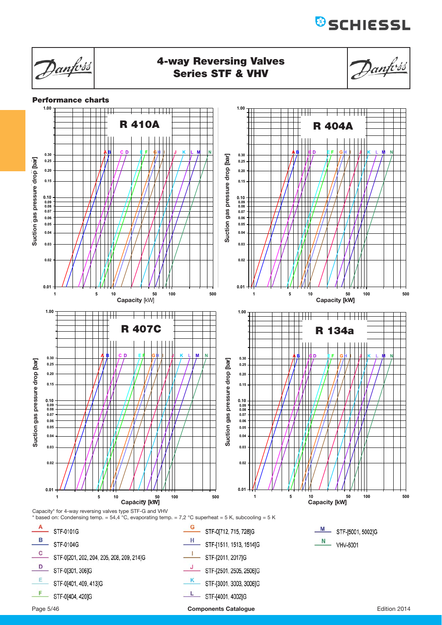Danfoss **4-way Reversing Valves** Danfoss **Series STF & VHV Performance charts 1.00 1.00** <u> 1949 - 1951 - 1952 - 1953 - 1954 - 1955 - 1955 - 1955 - 1955 - 1955 - 1955 - 1955 - 1955 - 1955 - 1955 - 195</u> **R 410A R 404A A B C D E F GH I J K L M N A B C D E F G H I J K L M N 0.30 0.30** Suction gas pressure drop [bar] **Suction gas pressure drop [bar]** Suction gas pressure drop [bar] **0.25 Suction gas pressure drop [bar] Suction gas pressure drop [bar] 0.25 Suction pressure drop [bar]** ction gas pressure drop [b **0.20 0.20 0.15 0.15 0.10 0.09 0.08 0.07 0.10 0.09 0.08 0.07 0.06 0.06 0.05 0.05 0.04 0.04 0.03 0.03 0.02 0.02 0.01 0.01** 1 5 10 50 100 **5 50 500 1** 10 50 100 **5 50 500 Capacity** [kW] **Capacity [kW] 1.00 1.00**  $\overline{++}$ <u> La Barri</u> **R 407C R 134a A B C D E F GH I J K L M N 0.30 A B C D E F G H I J K L M N 0.30** Suction gas pressure drop [bar] Suction gas pressure drop [bar] **Suction gas pressure drop [bar]0.25 0.25 Suction pressure drop [bar] Suction pressure drop [bar] 0.20 0.20 0.15 0.15 0.10 0.10 0.09 0.08 0.09 0.08 0.07 0.07 0.06 0.06 0.05 0.05 0.04 0.04 0.03 0.03 0.02 0.02 0.01 0.01** 100 500 1 5 10 5<br>**Capacity [kW] 1 10 100 i [k ] 5 50 500 1** 10 50 100 **5 50 500** Capacity\* for 4-way reversing valves type STF-G and VHV \* based on: Condensing temp. = 54,4 °C, evaporating temp. = 7,2 °C superheat = 5 K, subcooling = 5 K  $\overline{A}$  STF-0101G G STF-0[712, 715, 728]G M STF-[5001, 5002]G **B** STF-0104G H STF-[1511, 1513, 1514]G  $\frac{N}{N}$  VHV-6001  $\mathbf c$ STF-0[201, 202, 204, 205, 208, 209, 214]G J. - STF-[2011, 2017]G D STF-0[301, 306]G  $\frac{J}{STF-[2501, 2505, 2506]G}$  $E$  $-$  STF-0[401, 409, 413]G STF-[3001, 3003, 3006]G F STF-0[404, 420]G  $L$  STF-[4001, 4002]G

Page 5/46 **Components Catalogue** Edition 2014

**B**SCHIESSL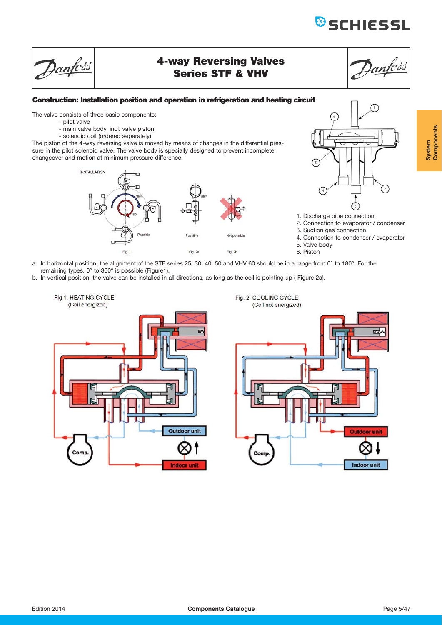# **&**SCHIESSL

# **4-way Reversing Valves Series STF & VHV**

# anfoss

### **Construction: Installation position and operation in refrigeration and heating circuit**

The valve consists of three basic components:

- pilot valve

Danfoss

- main valve body, incl. valve piston
- solenoid coil (ordered separately)

The piston of the 4-way reversing valve is moved by means of changes in the differential pressure in the pilot solenoid valve. The valve body is specially designed to prevent incomplete changeover and motion at minimum pressure difference.





- 2. Connection to evaporator / condenser
- 3. Suction gas connection
- 4. Connection to condenser / evaporator
- 5. Valve body
- 6. Piston
- a. In horizontal position, the alignment of the STF series 25, 30, 40, 50 and VHV 60 should be in a range from 0° to 180°. For the remaining types, 0° to 360° is possible (Figure1).
- b. In vertical position, the valve can be installed in all directions, as long as the coil is pointing up ( Figure 2a).



Fig. 2 COOLING CYCLE (Coil not energized)